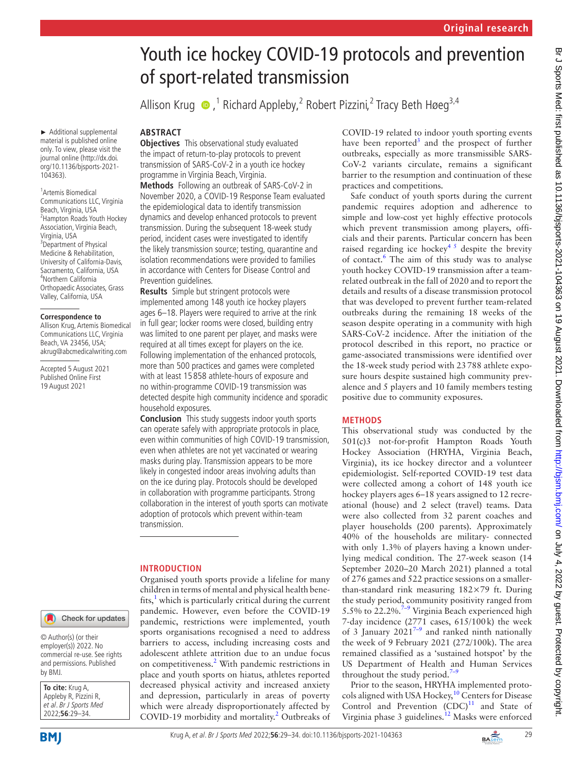# Youth ice hockey COVID-19 protocols and prevention Allison Krug  $\bullet$  ,<sup>1</sup> Richard Appleby,<sup>2</sup> Robert Pizzini,<sup>2</sup> Tracy Beth Høeg<sup>3,4</sup> COVID-19 related to indoor youth sporting events have been reported<sup>[3](#page-5-2)</sup> and the prospect of further outbreaks, especially as more transmissible SARS-CoV-2 variants circulate, remains a significant barrier to the resumption and continuation of these practices and competitions. Safe conduct of youth sports during the current pandemic requires adoption and adherence to simple and low-cost yet highly effective protocols which prevent transmission among players, officials and their parents. Particular concern has been raised regarding ice hockey<sup>45</sup> despite the brevity of contact.<sup>6</sup> The aim of this study was to analyse youth hockey COVID-19 transmission after a teamrelated outbreak in the fall of 2020 and to report the details and results of a disease transmission protocol that was developed to prevent further team-related outbreaks during the remaining 18 weeks of the season despite operating in a community with high SARS-CoV-2 incidence. After the initiation of the protocol described in this report, no practice or game-associated transmissions were identified over the 18-week study period with 23788 athlete exposure hours despite sustained high community prevalence and 5 players and 10 family members testing positive due to community exposures. **METHODS**

This observational study was conducted by the 501(c)3 not-for-profit Hampton Roads Youth Hockey Association (HRYHA, Virginia Beach, Virginia), its ice hockey director and a volunteer epidemiologist. Self-reported COVID-19 test data were collected among a cohort of 148 youth ice hockey players ages 6–18 years assigned to 12 recreational (house) and 2 select (travel) teams. Data were also collected from 32 parent coaches and player households (200 parents). Approximately 40% of the households are military- connected with only 1.3% of players having a known underlying medical condition. The 27-week season (14 September 2020–20 March 2021) planned a total of 276 games and 522 practice sessions on a smallerthan-standard rink measuring 182×79 ft. During the study period, community positivity ranged from 5.5% to  $22.2\%$ <sup>7-9</sup> Virginia Beach experienced high 7-day incidence (2771 cases, 615/100k) the week of 3 January  $2021^{7-9}$  and ranked ninth nationally the week of 9 February 2021 (272/100k). The area remained classified as a 'sustained hotspot' by the US Department of Health and Human Services throughout the study period. $7-9$ 

Prior to the season, HRYHA implemented protocols aligned with USA Hockey, $10$  Centers for Disease Control and Prevention  $(CDC)^{11}$  $(CDC)^{11}$  $(CDC)^{11}$  and State of Virginia phase 3 guidelines.<sup>12</sup> Masks were enforced

► Additional supplemental material is published online only. To view, please visit the journal online ([http://dx.doi.](http://dx.doi.org/10.1136/bjsports-2021-104363) [org/10.1136/bjsports-2021-](http://dx.doi.org/10.1136/bjsports-2021-104363) [104363](http://dx.doi.org/10.1136/bjsports-2021-104363)).

1 Artemis Biomedical Communications LLC, Virginia Beach, Virginia, USA 2 Hampton Roads Youth Hockey Association, Virginia Beach, Virginia, USA 3 Department of Physical Medicine & Rehabilitation, University of California-Davis, Sacramento, California, USA 4 Northern California Orthopaedic Associates, Grass Valley, California, USA

#### **Correspondence to**

Allison Krug, Artemis Biomedical Communications LLC, Virginia Beach, VA 23456, USA; akrug@abcmedicalwriting.com

Accepted 5 August 2021 Published Online First 19 August 2021

# **ABSTRACT**

**Objectives** This observational study evaluated the impact of return-to-play protocols to prevent transmission of SARS-CoV-2 in a youth ice hockey programme in Virginia Beach, Virginia.

of sport-related transmission

**Methods** Following an outbreak of SARS-CoV-2 in November 2020, a COVID-19 Response Team evaluated the epidemiological data to identify transmission dynamics and develop enhanced protocols to prevent transmission. During the subsequent 18-week study period, incident cases were investigated to identify the likely transmission source; testing, quarantine and isolation recommendations were provided to families in accordance with Centers for Disease Control and Prevention guidelines.

**Results** Simple but stringent protocols were implemented among 148 youth ice hockey players ages 6–18. Players were required to arrive at the rink in full gear; locker rooms were closed, building entry was limited to one parent per player, and masks were required at all times except for players on the ice. Following implementation of the enhanced protocols, more than 500 practices and games were completed with at least 15 858 athlete-hours of exposure and no within-programme COVID-19 transmission was detected despite high community incidence and sporadic household exposures.

**Conclusion** This study suggests indoor youth sports can operate safely with appropriate protocols in place, even within communities of high COVID-19 transmission, even when athletes are not yet vaccinated or wearing masks during play. Transmission appears to be more likely in congested indoor areas involving adults than on the ice during play. Protocols should be developed in collaboration with programme participants. Strong collaboration in the interest of youth sports can motivate adoption of protocols which prevent within-team transmission.

## **INTRODUCTION**

Organised youth sports provide a lifeline for many children in terms of mental and physical health benefits, $<sup>1</sup>$  $<sup>1</sup>$  $<sup>1</sup>$  which is particularly critical during the current</sup> pandemic. However, even before the COVID-19 pandemic, restrictions were implemented, youth sports organisations recognised a need to address barriers to access, including increasing costs and adolescent athlete attrition due to an undue focus on competitiveness.<sup>[2](#page-5-1)</sup> With pandemic restrictions in place and youth sports on hiatus, athletes reported decreased physical activity and increased anxiety and depression, particularly in areas of poverty which were already disproportionately affected by COVID-19 morbidity and mortality.<sup>[2](#page-5-1)</sup> Outbreaks of

© Author(s) (or their employer(s)) 2022. No commercial re-use. See rights and permissions. Published by BMJ.

**To cite:** Krug A, Appleby R, Pizzini R, et al. Br J Sports Med 2022;**56**:29–34.



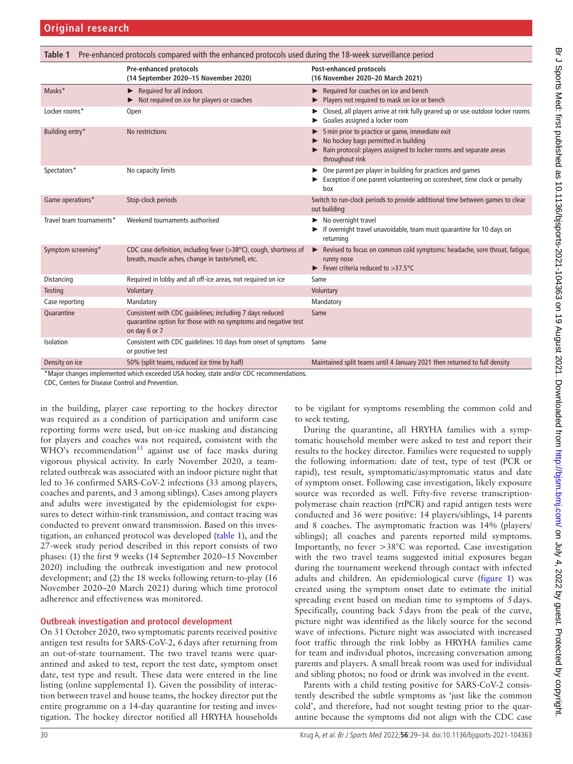<span id="page-1-0"></span>

| Pre-enhanced protocols compared with the enhanced protocols used during the 18-week surveillance period<br>Table 1 |                                                                                                                                             |                                                                                                                                                                                  |
|--------------------------------------------------------------------------------------------------------------------|---------------------------------------------------------------------------------------------------------------------------------------------|----------------------------------------------------------------------------------------------------------------------------------------------------------------------------------|
|                                                                                                                    | <b>Pre-enhanced protocols</b><br>(14 September 2020-15 November 2020)                                                                       | Post-enhanced protocols<br>(16 November 2020-20 March 2021)                                                                                                                      |
| Masks*                                                                                                             | Required for all indoors<br>▶<br>Not required on ice for players or coaches                                                                 | Required for coaches on ice and bench<br>Players not required to mask on ice or bench                                                                                            |
| Locker rooms*                                                                                                      | Open                                                                                                                                        | Closed, all players arrive at rink fully geared up or use outdoor locker rooms<br>Goalies assigned a locker room                                                                 |
| Building entry*                                                                                                    | No restrictions                                                                                                                             | 5 min prior to practice or game, immediate exit<br>No hockey bags permitted in building<br>Rain protocol: players assigned to locker rooms and separate areas<br>throughout rink |
| Spectators*                                                                                                        | No capacity limits                                                                                                                          | One parent per player in building for practices and games<br>Exception if one parent volunteering on scoresheet, time clock or penalty<br>box                                    |
| Game operations*                                                                                                   | Stop-clock periods                                                                                                                          | Switch to run-clock periods to provide additional time between games to clear<br>out building                                                                                    |
| Travel team tournaments*                                                                                           | Weekend tournaments authorised                                                                                                              | $\blacktriangleright$ No overnight travel<br>If overnight travel unavoidable, team must quarantine for 10 days on<br>returning                                                   |
| Symptom screening*                                                                                                 | CDC case definition, including fever (>38°C), cough, shortness of<br>breath, muscle aches, change in taste/smell, etc.                      | Revised to focus on common cold symptoms: headache, sore throat, fatique,<br>runny nose<br>Fever criteria reduced to $>37.5^{\circ}$ C                                           |
| Distancing                                                                                                         | Required in lobby and all off-ice areas, not required on ice                                                                                | Same                                                                                                                                                                             |
| <b>Testing</b>                                                                                                     | Voluntary                                                                                                                                   | Voluntary                                                                                                                                                                        |
| Case reporting                                                                                                     | Mandatory                                                                                                                                   | Mandatory                                                                                                                                                                        |
| Quarantine                                                                                                         | Consistent with CDC guidelines; including 7 days reduced<br>quarantine option for those with no symptoms and negative test<br>on day 6 or 7 | Same                                                                                                                                                                             |
| Isolation                                                                                                          | Consistent with CDC quidelines: 10 days from onset of symptoms Same<br>or positive test                                                     |                                                                                                                                                                                  |
| Density on ice                                                                                                     | 50% (split teams, reduced ice time by half)                                                                                                 | Maintained split teams until 4 January 2021 then returned to full density                                                                                                        |
| *Major changes implemented which exceeded USA hockey, state and/or CDC recommendations.                            |                                                                                                                                             |                                                                                                                                                                                  |

CDC, Centers for Disease Control and Prevention.

in the building, player case reporting to the hockey director was required as a condition of participation and uniform case reporting forms were used, but on-ice masking and distancing for players and coaches was not required, consistent with the  $WHO's$  recommendation<sup>13</sup> against use of face masks during vigorous physical activity. In early November 2020, a teamrelated outbreak was associated with an indoor picture night that led to 36 confirmed SARS-CoV-2 infections (33 among players, coaches and parents, and 3 among siblings). Cases among players and adults were investigated by the epidemiologist for exposures to detect within-rink transmission, and contact tracing was conducted to prevent onward transmission. Based on this investigation, an enhanced protocol was developed [\(table](#page-1-0) 1), and the 27-week study period described in this report consists of two phases: (1) the first 9 weeks (14 September 2020–15 November 2020) including the outbreak investigation and new protocol development; and (2) the 18 weeks following return-to-play (16 November 2020–20 March 2021) during which time protocol adherence and effectiveness was monitored.

## **Outbreak investigation and protocol development**

On 31 October 2020, two symptomatic parents received positive antigen test results for SARS-CoV-2, 6days after returning from an out-of-state tournament. The two travel teams were quarantined and asked to test, report the test date, symptom onset date, test type and result. These data were entered in the line listing [\(online supplemental 1](https://dx.doi.org/10.1136/bjsports-2021-104363)). Given the possibility of interaction between travel and house teams, the hockey director put the entire programme on a 14-day quarantine for testing and investigation. The hockey director notified all HRYHA households

to be vigilant for symptoms resembling the common cold and to seek testing.

During the quarantine, all HRYHA families with a symptomatic household member were asked to test and report their results to the hockey director. Families were requested to supply the following information: date of test, type of test (PCR or rapid), test result, symptomatic/asymptomatic status and date of symptom onset. Following case investigation, likely exposure source was recorded as well. Fifty-five reverse transcriptionpolymerase chain reaction (rtPCR) and rapid antigen tests were conducted and 36 were positive: 14 players/siblings, 14 parents and 8 coaches. The asymptomatic fraction was 14% (players/ siblings); all coaches and parents reported mild symptoms. Importantly, no fever >38°C was reported. Case investigation with the two travel teams suggested initial exposures began during the tournament weekend through contact with infected adults and children. An epidemiological curve ([figure](#page-2-0) 1) was created using the symptom onset date to estimate the initial spreading event based on median time to symptoms of 5days. Specifically, counting back 5days from the peak of the curve, picture night was identified as the likely source for the second wave of infections. Picture night was associated with increased foot traffic through the rink lobby as HRYHA families came for team and individual photos, increasing conversation among parents and players. A small break room was used for individual and sibling photos; no food or drink was involved in the event.

Parents with a child testing positive for SARS-CoV-2 consistently described the subtle symptoms as 'just like the common cold', and therefore, had not sought testing prior to the quarantine because the symptoms did not align with the CDC case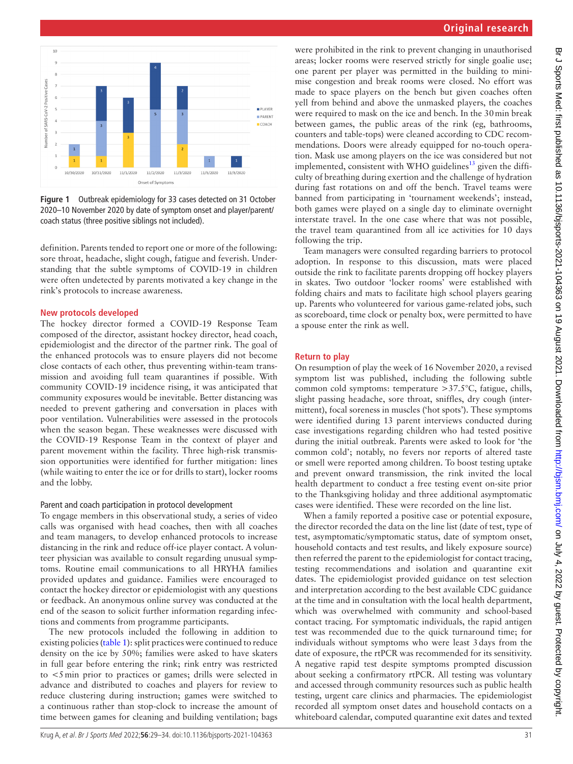

<span id="page-2-0"></span>**Figure 1** Outbreak epidemiology for 33 cases detected on 31 October 2020–10 November 2020 by date of symptom onset and player/parent/ coach status (three positive siblings not included).

definition. Parents tended to report one or more of the following: sore throat, headache, slight cough, fatigue and feverish. Understanding that the subtle symptoms of COVID-19 in children were often undetected by parents motivated a key change in the rink's protocols to increase awareness.

#### **New protocols developed**

The hockey director formed a COVID-19 Response Team composed of the director, assistant hockey director, head coach, epidemiologist and the director of the partner rink. The goal of the enhanced protocols was to ensure players did not become close contacts of each other, thus preventing within-team transmission and avoiding full team quarantines if possible. With community COVID-19 incidence rising, it was anticipated that community exposures would be inevitable. Better distancing was needed to prevent gathering and conversation in places with poor ventilation. Vulnerabilities were assessed in the protocols when the season began. These weaknesses were discussed with the COVID-19 Response Team in the context of player and parent movement within the facility. Three high-risk transmission opportunities were identified for further mitigation: lines (while waiting to enter the ice or for drills to start), locker rooms and the lobby.

#### Parent and coach participation in protocol development

To engage members in this observational study, a series of video calls was organised with head coaches, then with all coaches and team managers, to develop enhanced protocols to increase distancing in the rink and reduce off-ice player contact. A volunteer physician was available to consult regarding unusual symptoms. Routine email communications to all HRYHA families provided updates and guidance. Families were encouraged to contact the hockey director or epidemiologist with any questions or feedback. An anonymous online survey was conducted at the end of the season to solicit further information regarding infections and comments from programme participants.

The new protocols included the following in addition to existing policies [\(table](#page-1-0) 1): split practices were continued to reduce density on the ice by 50%; families were asked to have skaters in full gear before entering the rink; rink entry was restricted to <5min prior to practices or games; drills were selected in advance and distributed to coaches and players for review to reduce clustering during instruction; games were switched to a continuous rather than stop-clock to increase the amount of time between games for cleaning and building ventilation; bags

were prohibited in the rink to prevent changing in unauthorised areas; locker rooms were reserved strictly for single goalie use; one parent per player was permitted in the building to minimise congestion and break rooms were closed. No effort was made to space players on the bench but given coaches often yell from behind and above the unmasked players, the coaches were required to mask on the ice and bench. In the 30min break between games, the public areas of the rink (eg, bathrooms, counters and table-tops) were cleaned according to CDC recommendations. Doors were already equipped for no-touch operation. Mask use among players on the ice was considered but not implemented, consistent with WHO guidelines<sup>[13](#page-5-9)</sup> given the difficulty of breathing during exertion and the challenge of hydration during fast rotations on and off the bench. Travel teams were banned from participating in 'tournament weekends'; instead, both games were played on a single day to eliminate overnight interstate travel. In the one case where that was not possible, the travel team quarantined from all ice activities for 10 days following the trip.

Team managers were consulted regarding barriers to protocol adoption. In response to this discussion, mats were placed outside the rink to facilitate parents dropping off hockey players in skates. Two outdoor 'locker rooms' were established with folding chairs and mats to facilitate high school players gearing up. Parents who volunteered for various game-related jobs, such as scoreboard, time clock or penalty box, were permitted to have a spouse enter the rink as well.

#### **Return to play**

On resumption of play the week of 16 November 2020, a revised symptom list was published, including the following subtle common cold symptoms: temperature >37.5°C, fatigue, chills, slight passing headache, sore throat, sniffles, dry cough (intermittent), focal soreness in muscles ('hot spots'). These symptoms were identified during 13 parent interviews conducted during case investigations regarding children who had tested positive during the initial outbreak. Parents were asked to look for 'the common cold'; notably, no fevers nor reports of altered taste or smell were reported among children. To boost testing uptake and prevent onward transmission, the rink invited the local health department to conduct a free testing event on-site prior to the Thanksgiving holiday and three additional asymptomatic cases were identified. These were recorded on the line list.

When a family reported a positive case or potential exposure, the director recorded the data on the line list (date of test, type of test, asymptomatic/symptomatic status, date of symptom onset, household contacts and test results, and likely exposure source) then referred the parent to the epidemiologist for contact tracing, testing recommendations and isolation and quarantine exit dates. The epidemiologist provided guidance on test selection and interpretation according to the best available CDC guidance at the time and in consultation with the local health department, which was overwhelmed with community and school-based contact tracing. For symptomatic individuals, the rapid antigen test was recommended due to the quick turnaround time; for individuals without symptoms who were least 3days from the date of exposure, the rtPCR was recommended for its sensitivity. A negative rapid test despite symptoms prompted discussion about seeking a confirmatory rtPCR. All testing was voluntary and accessed through community resources such as public health testing, urgent care clinics and pharmacies. The epidemiologist recorded all symptom onset dates and household contacts on a whiteboard calendar, computed quarantine exit dates and texted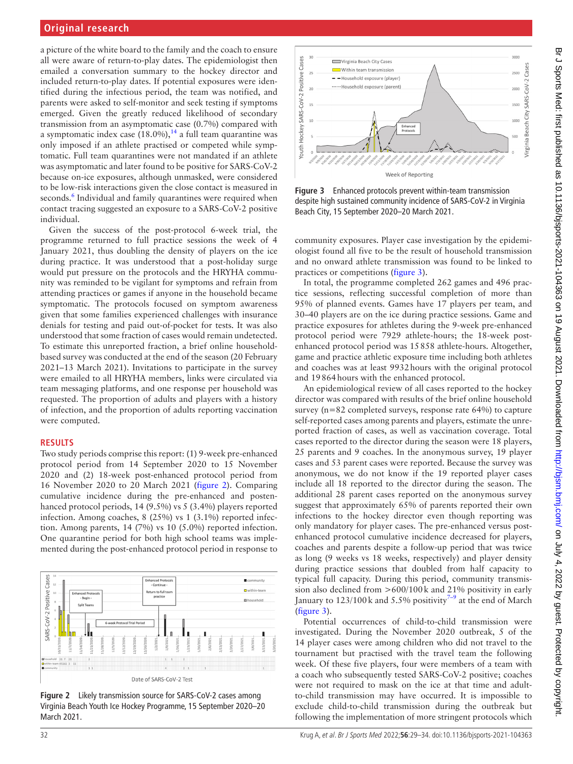# **Original research**

a picture of the white board to the family and the coach to ensure all were aware of return-to-play dates. The epidemiologist then emailed a conversation summary to the hockey director and included return-to-play dates. If potential exposures were identified during the infectious period, the team was notified, and parents were asked to self-monitor and seek testing if symptoms emerged. Given the greatly reduced likelihood of secondary transmission from an asymptomatic case (0.7%) compared with a symptomatic index case  $(18.0\%)$ ,<sup>14</sup> a full team quarantine was only imposed if an athlete practised or competed while symptomatic. Full team quarantines were not mandated if an athlete was asymptomatic and later found to be positive for SARS-CoV-2 because on-ice exposures, although unmasked, were considered to be low-risk interactions given the close contact is measured in seconds.<sup>6</sup> Individual and family quarantines were required when contact tracing suggested an exposure to a SARS-CoV-2 positive individual.

Given the success of the post-protocol 6-week trial, the programme returned to full practice sessions the week of 4 January 2021, thus doubling the density of players on the ice during practice. It was understood that a post-holiday surge would put pressure on the protocols and the HRYHA community was reminded to be vigilant for symptoms and refrain from attending practices or games if anyone in the household became symptomatic. The protocols focused on symptom awareness given that some families experienced challenges with insurance denials for testing and paid out-of-pocket for tests. It was also understood that some fraction of cases would remain undetected. To estimate this unreported fraction, a brief online householdbased survey was conducted at the end of the season (20 February 2021–13 March 2021). Invitations to participate in the survey were emailed to all HRYHA members, links were circulated via team messaging platforms, and one response per household was requested. The proportion of adults and players with a history of infection, and the proportion of adults reporting vaccination were computed.

## **RESULTS**

Two study periods comprise this report: (1) 9-week pre-enhanced protocol period from 14 September 2020 to 15 November 2020 and (2) 18-week post-enhanced protocol period from 16 November 2020 to 20 March 2021 ([figure](#page-3-0) 2). Comparing cumulative incidence during the pre-enhanced and postenhanced protocol periods, 14 (9.5%) vs 5 (3.4%) players reported infection. Among coaches, 8 (25%) vs 1 (3.1%) reported infection. Among parents, 14 (7%) vs 10 (5.0%) reported infection. One quarantine period for both high school teams was implemented during the post-enhanced protocol period in response to



<span id="page-3-0"></span>**Figure 2** Likely transmission source for SARS-CoV-2 cases among Virginia Beach Youth Ice Hockey Programme, 15 September 2020–20 March 2021.



<span id="page-3-1"></span>**Figure 3** Enhanced protocols prevent within-team transmission despite high sustained community incidence of SARS-CoV-2 in Virginia Beach City, 15 September 2020–20 March 2021.

community exposures. Player case investigation by the epidemiologist found all five to be the result of household transmission and no onward athlete transmission was found to be linked to practices or competitions [\(figure](#page-3-1) 3).

In total, the programme completed 262 games and 496 practice sessions, reflecting successful completion of more than 95% of planned events. Games have 17 players per team, and 30–40 players are on the ice during practice sessions. Game and practice exposures for athletes during the 9-week pre-enhanced protocol period were 7929 athlete-hours; the 18-week postenhanced protocol period was 15858 athlete-hours. Altogether, game and practice athletic exposure time including both athletes and coaches was at least 9932hours with the original protocol and 19864hours with the enhanced protocol.

An epidemiological review of all cases reported to the hockey director was compared with results of the brief online household survey (n=82 completed surveys, response rate 64%) to capture self-reported cases among parents and players, estimate the unreported fraction of cases, as well as vaccination coverage. Total cases reported to the director during the season were 18 players, 25 parents and 9 coaches. In the anonymous survey, 19 player cases and 53 parent cases were reported. Because the survey was anonymous, we do not know if the 19 reported player cases include all 18 reported to the director during the season. The additional 28 parent cases reported on the anonymous survey suggest that approximately 65% of parents reported their own infections to the hockey director even though reporting was only mandatory for player cases. The pre-enhanced versus postenhanced protocol cumulative incidence decreased for players, coaches and parents despite a follow-up period that was twice as long (9 weeks vs 18 weeks, respectively) and player density during practice sessions that doubled from half capacity to typical full capacity. During this period, community transmission also declined from >600/100k and 21% positivity in early January to  $123/100$  k and 5.5% positivity<sup>7-9</sup> at the end of March ([figure](#page-3-1) 3).

Potential occurrences of child-to-child transmission were investigated. During the November 2020 outbreak, 5 of the 14 player cases were among children who did not travel to the tournament but practised with the travel team the following week. Of these five players, four were members of a team with a coach who subsequently tested SARS-CoV-2 positive; coaches were not required to mask on the ice at that time and adultto-child transmission may have occurred. It is impossible to exclude child-to-child transmission during the outbreak but following the implementation of more stringent protocols which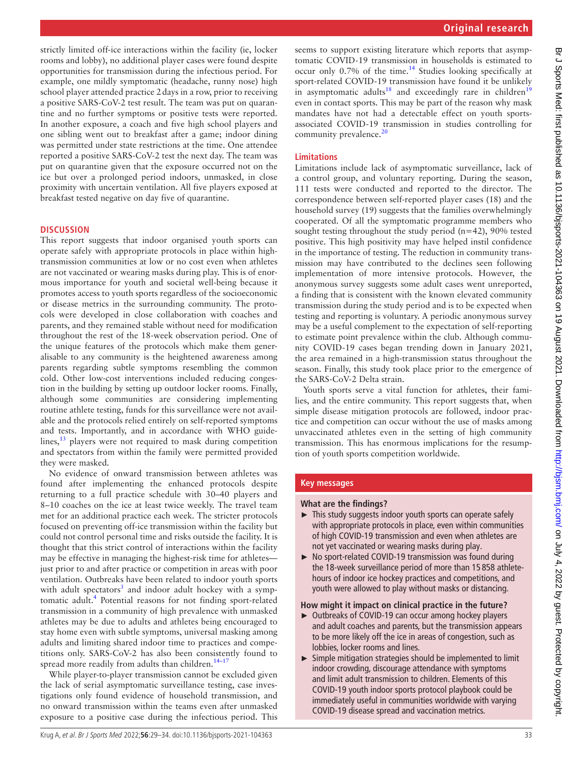strictly limited off-ice interactions within the facility (ie, locker rooms and lobby), no additional player cases were found despite opportunities for transmission during the infectious period. For example, one mildly symptomatic (headache, runny nose) high school player attended practice 2days in a row, prior to receiving a positive SARS-CoV-2 test result. The team was put on quarantine and no further symptoms or positive tests were reported. In another exposure, a coach and five high school players and one sibling went out to breakfast after a game; indoor dining was permitted under state restrictions at the time. One attendee reported a positive SARS-CoV-2 test the next day. The team was put on quarantine given that the exposure occurred not on the ice but over a prolonged period indoors, unmasked, in close proximity with uncertain ventilation. All five players exposed at breakfast tested negative on day five of quarantine.

#### **DISCUSSION**

This report suggests that indoor organised youth sports can operate safely with appropriate protocols in place within hightransmission communities at low or no cost even when athletes are not vaccinated or wearing masks during play. This is of enormous importance for youth and societal well-being because it promotes access to youth sports regardless of the socioeconomic or disease metrics in the surrounding community. The protocols were developed in close collaboration with coaches and parents, and they remained stable without need for modification throughout the rest of the 18-week observation period. One of the unique features of the protocols which make them generalisable to any community is the heightened awareness among parents regarding subtle symptoms resembling the common cold. Other low-cost interventions included reducing congestion in the building by setting up outdoor locker rooms. Finally, although some communities are considering implementing routine athlete testing, funds for this surveillance were not available and the protocols relied entirely on self-reported symptoms and tests. Importantly, and in accordance with WHO guidelines, $^{13}$  players were not required to mask during competition and spectators from within the family were permitted provided they were masked.

No evidence of onward transmission between athletes was found after implementing the enhanced protocols despite returning to a full practice schedule with 30–40 players and 8–10 coaches on the ice at least twice weekly. The travel team met for an additional practice each week. The stricter protocols focused on preventing off-ice transmission within the facility but could not control personal time and risks outside the facility. It is thought that this strict control of interactions within the facility may be effective in managing the highest-risk time for athletes just prior to and after practice or competition in areas with poor ventilation. Outbreaks have been related to indoor youth sports with adult spectators<sup>[3](#page-5-2)</sup> and indoor adult hockey with a symptomatic adult.<sup>4</sup> Potential reasons for not finding sport-related transmission in a community of high prevalence with unmasked athletes may be due to adults and athletes being encouraged to stay home even with subtle symptoms, universal masking among adults and limiting shared indoor time to practices and competitions only. SARS-CoV-2 has also been consistently found to spread more readily from adults than children. $14-17$ 

While player-to-player transmission cannot be excluded given the lack of serial asymptomatic surveillance testing, case investigations only found evidence of household transmission, and no onward transmission within the teams even after unmasked exposure to a positive case during the infectious period. This

seems to support existing literature which reports that asymptomatic COVID-19 transmission in households is estimated to occur only 0.7% of the time.[14](#page-5-10) Studies looking specifically at sport-related COVID-19 transmission have found it be unlikely in asymptomatic adults<sup>[18](#page-5-11)</sup> and exceedingly rare in children<sup>[19](#page-5-12)</sup> even in contact sports. This may be part of the reason why mask mandates have not had a detectable effect on youth sportsassociated COVID-19 transmission in studies controlling for community prevalence.<sup>[20](#page-5-13)</sup>

## **Limitations**

Limitations include lack of asymptomatic surveillance, lack of a control group, and voluntary reporting. During the season, 111 tests were conducted and reported to the director. The correspondence between self-reported player cases (18) and the household survey (19) suggests that the families overwhelmingly cooperated. Of all the symptomatic programme members who sought testing throughout the study period  $(n=42)$ , 90% tested positive. This high positivity may have helped instil confidence in the importance of testing. The reduction in community transmission may have contributed to the declines seen following implementation of more intensive protocols. However, the anonymous survey suggests some adult cases went unreported, a finding that is consistent with the known elevated community transmission during the study period and is to be expected when testing and reporting is voluntary. A periodic anonymous survey may be a useful complement to the expectation of self-reporting to estimate point prevalence within the club. Although community COVID-19 cases began trending down in January 2021, the area remained in a high-transmission status throughout the season. Finally, this study took place prior to the emergence of the SARS-CoV-2 Delta strain.

Youth sports serve a vital function for athletes, their families, and the entire community. This report suggests that, when simple disease mitigation protocols are followed, indoor practice and competition can occur without the use of masks among unvaccinated athletes even in the setting of high community transmission. This has enormous implications for the resumption of youth sports competition worldwide.

## **Key messages**

#### **What are the findings?**

- ► This study suggests indoor youth sports can operate safely with appropriate protocols in place, even within communities of high COVID-19 transmission and even when athletes are not yet vaccinated or wearing masks during play.
- ► No sport-related COVID-19 transmission was found during the 18-week surveillance period of more than 15 858 athletehours of indoor ice hockey practices and competitions, and youth were allowed to play without masks or distancing.

#### **How might it impact on clinical practice in the future?**

- ► Outbreaks of COVID-19 can occur among hockey players and adult coaches and parents, but the transmission appears to be more likely off the ice in areas of congestion, such as lobbies, locker rooms and lines.
- ► Simple mitigation strategies should be implemented to limit indoor crowding, discourage attendance with symptoms and limit adult transmission to children. Elements of this COVID-19 youth indoor sports protocol playbook could be immediately useful in communities worldwide with varying COVID-19 disease spread and vaccination metrics.